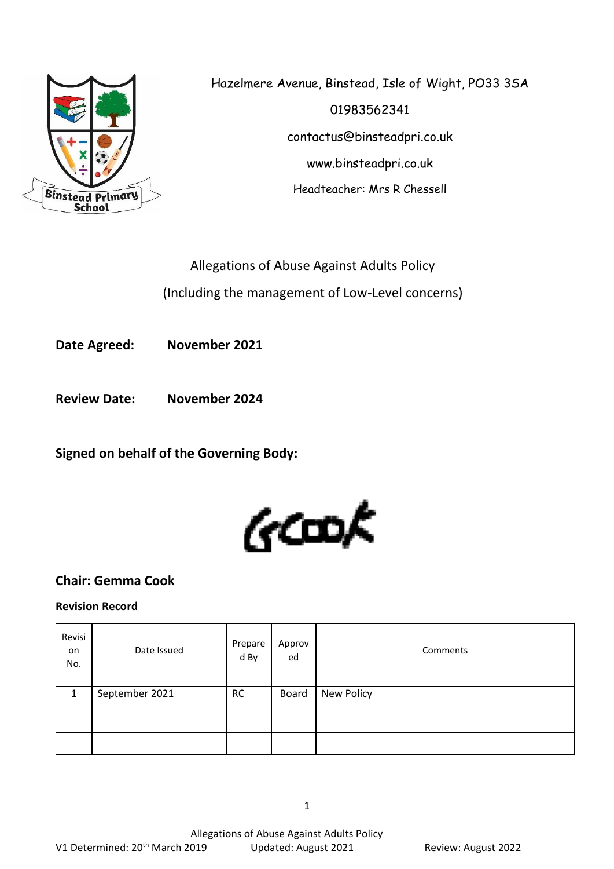

Hazelmere Avenue, Binstead, Isle of Wight, PO33 3SA 01983562341 contactus@binsteadpri.co.uk www.binsteadpri.co.uk Headteacher: Mrs R Chessell

Allegations of Abuse Against Adults Policy (Including the management of Low-Level concerns)

**Date Agreed: November 2021**

**Review Date: November 2024**

**Signed on behalf of the Governing Body:**



# **Chair: Gemma Cook**

## **Revision Record**

| Revisi<br>on<br>No. | Date Issued    | Prepare<br>d By | Approv<br>ed | Comments   |
|---------------------|----------------|-----------------|--------------|------------|
|                     | September 2021 | <b>RC</b>       | Board        | New Policy |
|                     |                |                 |              |            |
|                     |                |                 |              |            |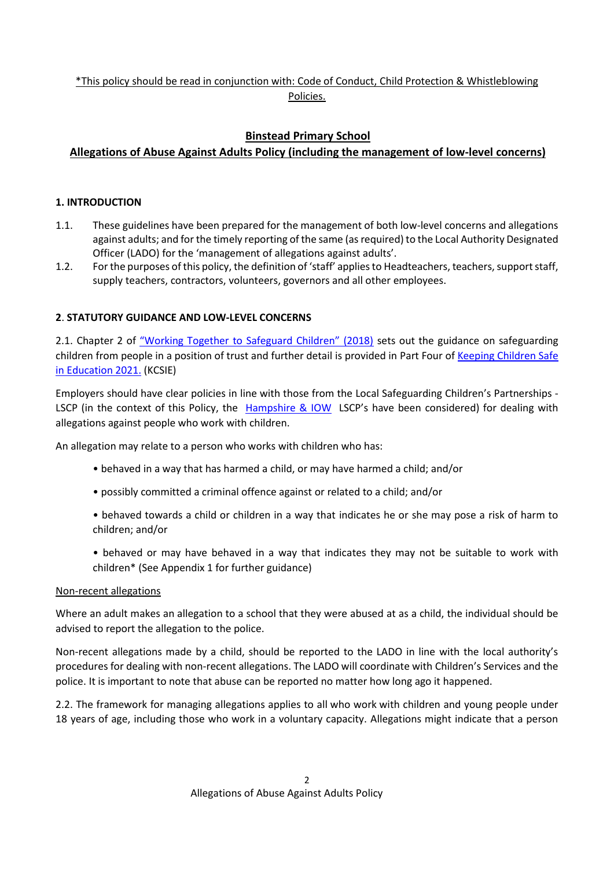\*This policy should be read in conjunction with: Code of Conduct, Child Protection & Whistleblowing Policies.

# **Binstead Primary School**

# **Allegations of Abuse Against Adults Policy (including the management of low-level concerns)**

#### **1. INTRODUCTION**

- 1.1. These guidelines have been prepared for the management of both low-level concerns and allegations against adults; and for the timely reporting of the same (as required) to the Local Authority Designated Officer (LADO) for the 'management of allegations against adults'.
- 1.2. For the purposes of this policy, the definition of 'staff' applies to Headteachers, teachers, support staff, supply teachers, contractors, volunteers, governors and all other employees.

### **2**. **STATUTORY GUIDANCE AND LOW-LEVEL CONCERNS**

2.1. Chapter 2 of ["Working Together to Safeguard Children" \(2018\)](https://assets.publishing.service.gov.uk/government/uploads/system/uploads/attachment_data/file/722305/Working_Together_to_Safeguard_Children_-_Guide.pdf) sets out the guidance on safeguarding children from people in a position of trust and further detail is provided in Part Four of Keeping [Children Safe](https://www.gov.uk/government/publications/keeping-children-safe-in-education--2f)  [in Education 2021.](https://www.gov.uk/government/publications/keeping-children-safe-in-education--2f) (KCSIE)

Employers should have clear policies in line with those from the Local Safeguarding Children's Partnerships - LSCP (in the context of this Policy, the [Hampshire](https://www.hampshirescp.org.uk/) & IOW LSCP's have been considered) for dealing with allegations against people who work with children.

An allegation may relate to a person who works with children who has:

- behaved in a way that has harmed a child, or may have harmed a child; and/or
- possibly committed a criminal offence against or related to a child; and/or
- behaved towards a child or children in a way that indicates he or she may pose a risk of harm to children; and/or
- behaved or may have behaved in a way that indicates they may not be suitable to work with children\* (See Appendix 1 for further guidance)

#### Non-recent allegations

Where an adult makes an allegation to a school that they were abused at as a child, the individual should be advised to report the allegation to the police.

Non-recent allegations made by a child, should be reported to the LADO in line with the local authority's procedures for dealing with non-recent allegations. The LADO will coordinate with Children's Services and the police. It is important to note that abuse can be reported no matter how long ago it happened.

2.2. The framework for managing allegations applies to all who work with children and young people under 18 years of age, including those who work in a voluntary capacity. Allegations might indicate that a person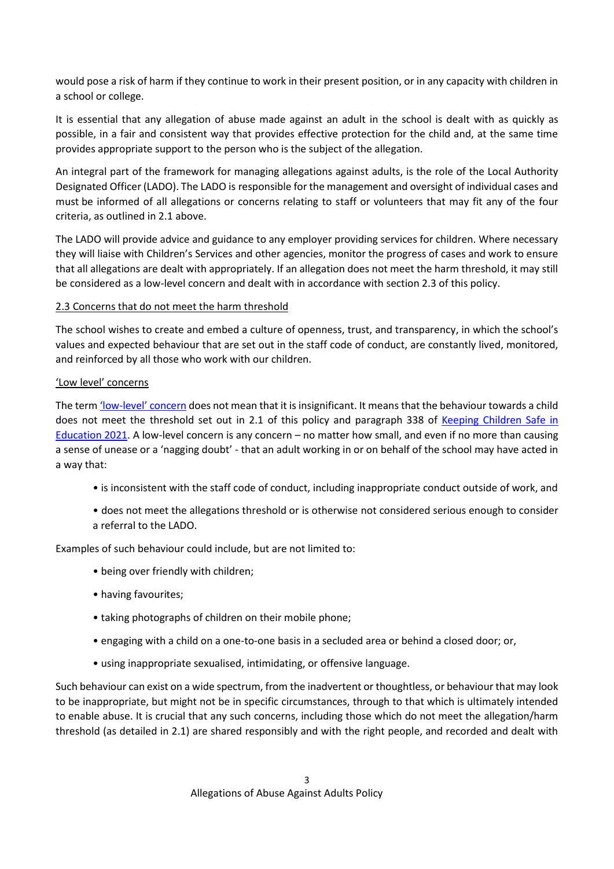would pose a risk of harm if they continue to work in their present position, or in any capacity with children in a school or college.

It is essential that any allegation of abuse made against an adult in the school is dealt with as quickly as possible, in a fair and consistent way that provides effective protection for the child and, at the same time provides appropriate support to the person who is the subject of the allegation.

An integral part of the framework for managing allegations against adults, is the role of the Local Authority Designated Officer (LADO). The LADO is responsible for the management and oversight of individual cases and must be informed of all allegations or concerns relating to staff or volunteers that may fit any of the four criteria, as outlined in 2.1 above.

The LADO will provide advice and guidance to any employer providing services for children. Where necessary they will liaise with Children's Services and other agencies, monitor the progress of cases and work to ensure that all allegations are dealt with appropriately. If an allegation does not meet the harm threshold, it may still be considered as a low-level concern and dealt with in accordance with section 2.3 of this policy.

#### 2.3 Concerns that do not meet the harm threshold

The school wishes to create and embed a culture of openness, trust, and transparency, in which the school's values and expected behaviour that are set out in the staff code of conduct, are constantly lived, monitored, and reinforced by all those who work with our children.

#### 'Low level' concerns

The term 'low-l[evel' concern](https://www.farrer.co.uk/globalassets/clients-and-sectors/safeguarding/low-level-concerns-guidance-2020.pdf) does not mean that it is insignificant. It means that the behaviour towards a child does not meet the threshold set out in 2.1 of this policy and paragraph 338 of Keeping Children Safe in [Education 2021.](https://www.gov.uk/government/publications/keeping-children-safe-in-education--2f) A low-level concern is any concern – no matter how small, and even if no more than causing a sense of unease or a 'nagging doubt' - that an adult working in or on behalf of the school may have acted in a way that:

- is inconsistent with the staff code of conduct, including inappropriate conduct outside of work, and
- does not meet the allegations threshold or is otherwise not considered serious enough to consider a referral to the LADO.

Examples of such behaviour could include, but are not limited to:

- being over friendly with children;
- having favourites;
- taking photographs of children on their mobile phone;
- engaging with a child on a one-to-one basis in a secluded area or behind a closed door; or,
- using inappropriate sexualised, intimidating, or offensive language.

Such behaviour can exist on a wide spectrum, from the inadvertent or thoughtless, or behaviour that may look to be inappropriate, but might not be in specific circumstances, through to that which is ultimately intended to enable abuse. It is crucial that any such concerns, including those which do not meet the allegation/harm threshold (as detailed in 2.1) are shared responsibly and with the right people, and recorded and dealt with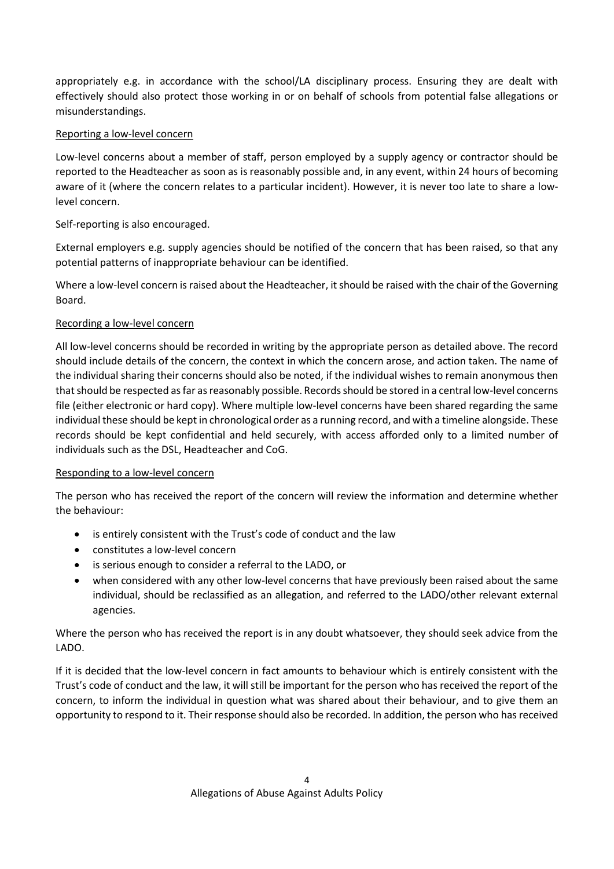appropriately e.g. in accordance with the school/LA disciplinary process. Ensuring they are dealt with effectively should also protect those working in or on behalf of schools from potential false allegations or misunderstandings.

#### Reporting a low-level concern

Low-level concerns about a member of staff, person employed by a supply agency or contractor should be reported to the Headteacher as soon as is reasonably possible and, in any event, within 24 hours of becoming aware of it (where the concern relates to a particular incident). However, it is never too late to share a lowlevel concern.

#### Self-reporting is also encouraged.

External employers e.g. supply agencies should be notified of the concern that has been raised, so that any potential patterns of inappropriate behaviour can be identified.

Where a low-level concern is raised about the Headteacher, it should be raised with the chair of the Governing Board.

#### Recording a low-level concern

All low-level concerns should be recorded in writing by the appropriate person as detailed above. The record should include details of the concern, the context in which the concern arose, and action taken. The name of the individual sharing their concerns should also be noted, if the individual wishes to remain anonymous then that should be respected as far as reasonably possible. Records should be stored in a central low-level concerns file (either electronic or hard copy). Where multiple low-level concerns have been shared regarding the same individual these should be kept in chronological order as a running record, and with a timeline alongside. These records should be kept confidential and held securely, with access afforded only to a limited number of individuals such as the DSL, Headteacher and CoG.

#### Responding to a low-level concern

The person who has received the report of the concern will review the information and determine whether the behaviour:

- is entirely consistent with the Trust's code of conduct and the law
- constitutes a low-level concern
- is serious enough to consider a referral to the LADO, or
- when considered with any other low-level concerns that have previously been raised about the same individual, should be reclassified as an allegation, and referred to the LADO/other relevant external agencies.

Where the person who has received the report is in any doubt whatsoever, they should seek advice from the LADO.

If it is decided that the low-level concern in fact amounts to behaviour which is entirely consistent with the Trust's code of conduct and the law, it will still be important for the person who has received the report of the concern, to inform the individual in question what was shared about their behaviour, and to give them an opportunity to respond to it. Their response should also be recorded. In addition, the person who has received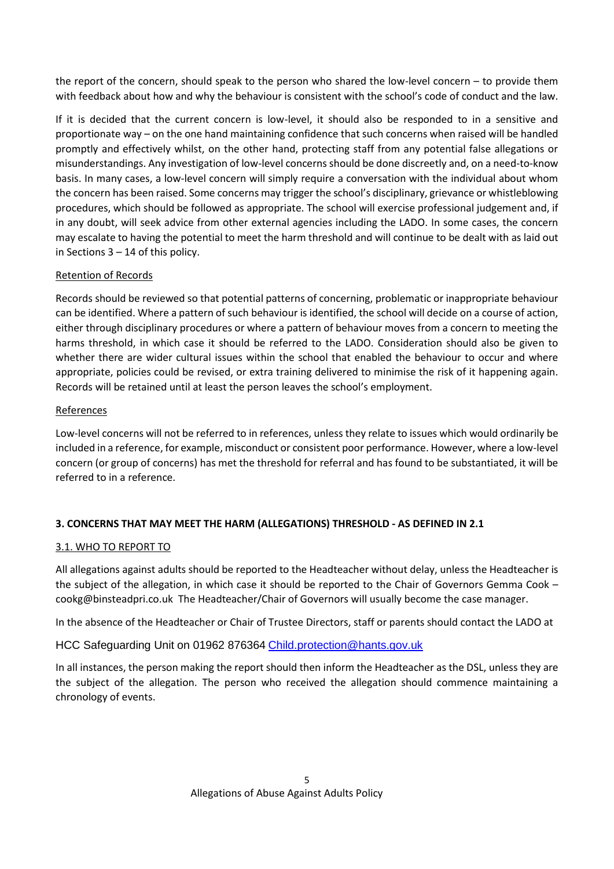the report of the concern, should speak to the person who shared the low-level concern – to provide them with feedback about how and why the behaviour is consistent with the school's code of conduct and the law.

If it is decided that the current concern is low-level, it should also be responded to in a sensitive and proportionate way – on the one hand maintaining confidence that such concerns when raised will be handled promptly and effectively whilst, on the other hand, protecting staff from any potential false allegations or misunderstandings. Any investigation of low-level concerns should be done discreetly and, on a need-to-know basis. In many cases, a low-level concern will simply require a conversation with the individual about whom the concern has been raised. Some concerns may trigger the school's disciplinary, grievance or whistleblowing procedures, which should be followed as appropriate. The school will exercise professional judgement and, if in any doubt, will seek advice from other external agencies including the LADO. In some cases, the concern may escalate to having the potential to meet the harm threshold and will continue to be dealt with as laid out in Sections 3 – 14 of this policy.

#### Retention of Records

Records should be reviewed so that potential patterns of concerning, problematic or inappropriate behaviour can be identified. Where a pattern of such behaviour is identified, the school will decide on a course of action, either through disciplinary procedures or where a pattern of behaviour moves from a concern to meeting the harms threshold, in which case it should be referred to the LADO. Consideration should also be given to whether there are wider cultural issues within the school that enabled the behaviour to occur and where appropriate, policies could be revised, or extra training delivered to minimise the risk of it happening again. Records will be retained until at least the person leaves the school's employment.

#### References

Low-level concerns will not be referred to in references, unless they relate to issues which would ordinarily be included in a reference, for example, misconduct or consistent poor performance. However, where a low-level concern (or group of concerns) has met the threshold for referral and has found to be substantiated, it will be referred to in a reference.

## **3. CONCERNS THAT MAY MEET THE HARM (ALLEGATIONS) THRESHOLD - AS DEFINED IN 2.1**

#### 3.1. WHO TO REPORT TO

All allegations against adults should be reported to the Headteacher without delay, unless the Headteacher is the subject of the allegation, in which case it should be reported to the Chair of Governors Gemma Cook – cookg@binsteadpri.co.uk The Headteacher/Chair of Governors will usually become the case manager.

In the absence of the Headteacher or Chair of Trustee Directors, staff or parents should contact the LADO at

HCC Safeguarding Unit on 01962 876364 [Child.protection@hants.gov.uk](mailto:Child.protection@hants.gov.uk)

In all instances, the person making the report should then inform the Headteacher as the DSL, unless they are the subject of the allegation. The person who received the allegation should commence maintaining a chronology of events.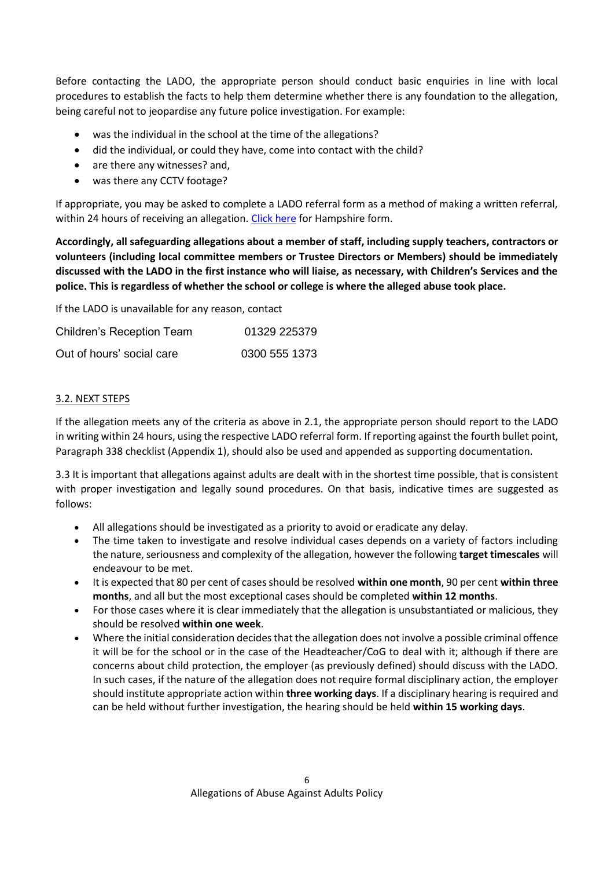Before contacting the LADO, the appropriate person should conduct basic enquiries in line with local procedures to establish the facts to help them determine whether there is any foundation to the allegation, being careful not to jeopardise any future police investigation. For example:

- was the individual in the school at the time of the allegations?
- did the individual, or could they have, come into contact with the child?
- are there any witnesses? and,
- was there any CCTV footage?

If appropriate, you may be asked to complete a LADO referral form as a method of making a written referral, within 24 hours of receiving an allegation[. Click here](https://forms.hants.gov.uk/en/AchieveForms/?form_uri=sandbox-publish://AF-Process-c8d4175e-e440-4cdd-9968-349c655374b9/AF-Stage-64282b4d-4083-4e7c-9c4e-1a25a6a74599/definition.json&redirectlink=/en&cancelRedirectLink=/en) for Hampshire form.

**Accordingly, all safeguarding allegations about a member of staff, including supply teachers, contractors or volunteers (including local committee members or Trustee Directors or Members) should be immediately discussed with the LADO in the first instance who will liaise, as necessary, with Children's Services and the police. This is regardless of whether the school or college is where the alleged abuse took place.** 

If the LADO is unavailable for any reason, contact

| <b>Children's Reception Team</b> | 01329 225379  |
|----------------------------------|---------------|
| Out of hours' social care        | 0300 555 1373 |

#### 3.2. NEXT STEPS

If the allegation meets any of the criteria as above in 2.1, the appropriate person should report to the LADO in writing within 24 hours, using the respective LADO referral form. If reporting against the fourth bullet point, Paragraph 338 checklist (Appendix 1), should also be used and appended as supporting documentation.

3.3 It is important that allegations against adults are dealt with in the shortest time possible, that is consistent with proper investigation and legally sound procedures. On that basis, indicative times are suggested as follows:

- All allegations should be investigated as a priority to avoid or eradicate any delay.
- The time taken to investigate and resolve individual cases depends on a variety of factors including the nature, seriousness and complexity of the allegation, however the following **target timescales** will endeavour to be met.
- It is expected that 80 per cent of cases should be resolved **within one month**, 90 per cent **within three months**, and all but the most exceptional cases should be completed **within 12 months**.
- For those cases where it is clear immediately that the allegation is unsubstantiated or malicious, they should be resolved **within one week**.
- Where the initial consideration decides that the allegation does not involve a possible criminal offence it will be for the school or in the case of the Headteacher/CoG to deal with it; although if there are concerns about child protection, the employer (as previously defined) should discuss with the LADO. In such cases, if the nature of the allegation does not require formal disciplinary action, the employer should institute appropriate action within **three working days**. If a disciplinary hearing is required and can be held without further investigation, the hearing should be held **within 15 working days**.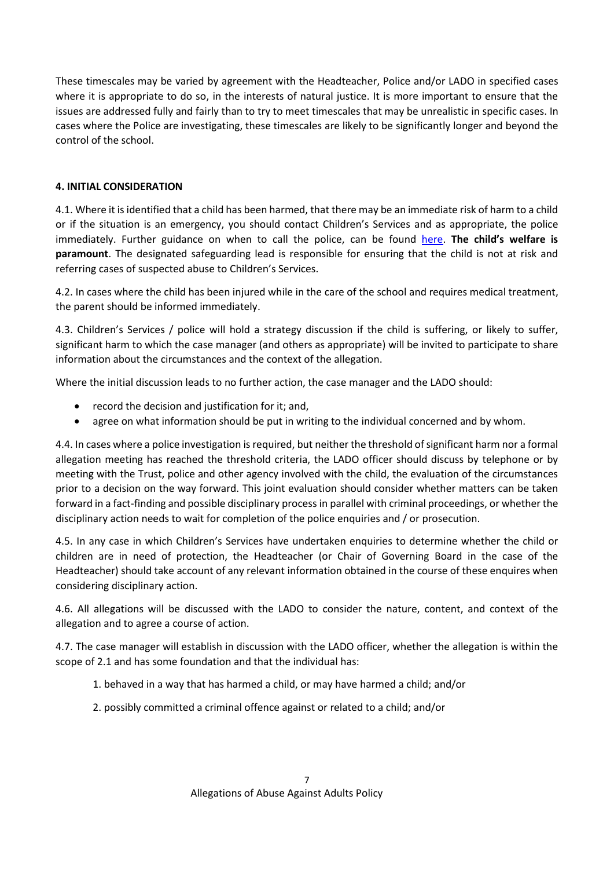These timescales may be varied by agreement with the Headteacher, Police and/or LADO in specified cases where it is appropriate to do so, in the interests of natural justice. It is more important to ensure that the issues are addressed fully and fairly than to try to meet timescales that may be unrealistic in specific cases. In cases where the Police are investigating, these timescales are likely to be significantly longer and beyond the control of the school.

#### **4. INITIAL CONSIDERATION**

4.1. Where it is identified that a child has been harmed, that there may be an immediate risk of harm to a child or if the situation is an emergency, you should contact Children's Services and as appropriate, the police immediately. Further guidance on when to call the police, can be found [here.](https://www.npcc.police.uk/documents/Children%20and%20Young%20people/When%20to%20call%20police%20guidance%20for%20schools%20and%20colleges.pdf) **The child's welfare is paramount**. The designated safeguarding lead is responsible for ensuring that the child is not at risk and referring cases of suspected abuse to Children's Services.

4.2. In cases where the child has been injured while in the care of the school and requires medical treatment, the parent should be informed immediately.

4.3. Children's Services / police will hold a strategy discussion if the child is suffering, or likely to suffer, significant harm to which the case manager (and others as appropriate) will be invited to participate to share information about the circumstances and the context of the allegation.

Where the initial discussion leads to no further action, the case manager and the LADO should:

- record the decision and justification for it; and,
- agree on what information should be put in writing to the individual concerned and by whom.

4.4. In cases where a police investigation is required, but neither the threshold of significant harm nor a formal allegation meeting has reached the threshold criteria, the LADO officer should discuss by telephone or by meeting with the Trust, police and other agency involved with the child, the evaluation of the circumstances prior to a decision on the way forward. This joint evaluation should consider whether matters can be taken forward in a fact-finding and possible disciplinary process in parallel with criminal proceedings, or whether the disciplinary action needs to wait for completion of the police enquiries and / or prosecution.

4.5. In any case in which Children's Services have undertaken enquiries to determine whether the child or children are in need of protection, the Headteacher (or Chair of Governing Board in the case of the Headteacher) should take account of any relevant information obtained in the course of these enquires when considering disciplinary action.

4.6. All allegations will be discussed with the LADO to consider the nature, content, and context of the allegation and to agree a course of action.

4.7. The case manager will establish in discussion with the LADO officer, whether the allegation is within the scope of 2.1 and has some foundation and that the individual has:

- 1. behaved in a way that has harmed a child, or may have harmed a child; and/or
- 2. possibly committed a criminal offence against or related to a child; and/or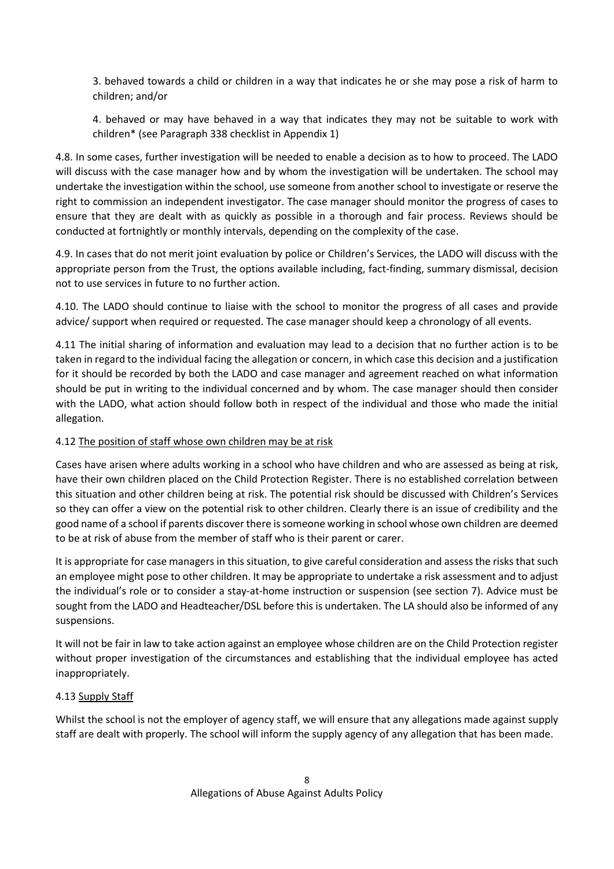3. behaved towards a child or children in a way that indicates he or she may pose a risk of harm to children; and/or

4. behaved or may have behaved in a way that indicates they may not be suitable to work with children\* (see Paragraph 338 checklist in Appendix 1)

4.8. In some cases, further investigation will be needed to enable a decision as to how to proceed. The LADO will discuss with the case manager how and by whom the investigation will be undertaken. The school may undertake the investigation within the school, use someone from another school to investigate or reserve the right to commission an independent investigator. The case manager should monitor the progress of cases to ensure that they are dealt with as quickly as possible in a thorough and fair process. Reviews should be conducted at fortnightly or monthly intervals, depending on the complexity of the case.

4.9. In cases that do not merit joint evaluation by police or Children's Services, the LADO will discuss with the appropriate person from the Trust, the options available including, fact-finding, summary dismissal, decision not to use services in future to no further action.

4.10. The LADO should continue to liaise with the school to monitor the progress of all cases and provide advice/ support when required or requested. The case manager should keep a chronology of all events.

4.11 The initial sharing of information and evaluation may lead to a decision that no further action is to be taken in regard to the individual facing the allegation or concern, in which case this decision and a justification for it should be recorded by both the LADO and case manager and agreement reached on what information should be put in writing to the individual concerned and by whom. The case manager should then consider with the LADO, what action should follow both in respect of the individual and those who made the initial allegation.

#### 4.12 The position of staff whose own children may be at risk

Cases have arisen where adults working in a school who have children and who are assessed as being at risk, have their own children placed on the Child Protection Register. There is no established correlation between this situation and other children being at risk. The potential risk should be discussed with Children's Services so they can offer a view on the potential risk to other children. Clearly there is an issue of credibility and the good name of a school if parents discover there is someone working in school whose own children are deemed to be at risk of abuse from the member of staff who is their parent or carer.

It is appropriate for case managers in this situation, to give careful consideration and assess the risks that such an employee might pose to other children. It may be appropriate to undertake a risk assessment and to adjust the individual's role or to consider a stay-at-home instruction or suspension (see section 7). Advice must be sought from the LADO and Headteacher/DSL before this is undertaken. The LA should also be informed of any suspensions.

It will not be fair in law to take action against an employee whose children are on the Child Protection register without proper investigation of the circumstances and establishing that the individual employee has acted inappropriately.

#### 4.13 Supply Staff

Whilst the school is not the employer of agency staff, we will ensure that any allegations made against supply staff are dealt with properly. The school will inform the supply agency of any allegation that has been made.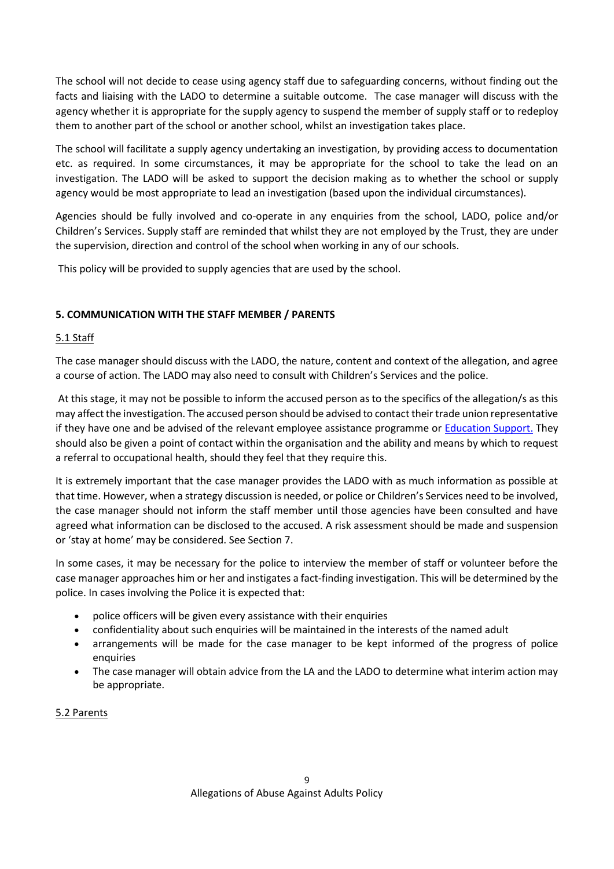The school will not decide to cease using agency staff due to safeguarding concerns, without finding out the facts and liaising with the LADO to determine a suitable outcome. The case manager will discuss with the agency whether it is appropriate for the supply agency to suspend the member of supply staff or to redeploy them to another part of the school or another school, whilst an investigation takes place.

The school will facilitate a supply agency undertaking an investigation, by providing access to documentation etc. as required. In some circumstances, it may be appropriate for the school to take the lead on an investigation. The LADO will be asked to support the decision making as to whether the school or supply agency would be most appropriate to lead an investigation (based upon the individual circumstances).

Agencies should be fully involved and co-operate in any enquiries from the school, LADO, police and/or Children's Services. Supply staff are reminded that whilst they are not employed by the Trust, they are under the supervision, direction and control of the school when working in any of our schools.

This policy will be provided to supply agencies that are used by the school.

#### **5. COMMUNICATION WITH THE STAFF MEMBER / PARENTS**

#### 5.1 Staff

The case manager should discuss with the LADO, the nature, content and context of the allegation, and agree a course of action. The LADO may also need to consult with Children's Services and the police.

At this stage, it may not be possible to inform the accused person as to the specifics of the allegation/s as this may affect the investigation. The accused person should be advised to contact their trade union representative if they have one and be advised of the relevant employee assistance programme or [Education Support.](https://www.educationsupport.org.uk/) They should also be given a point of contact within the organisation and the ability and means by which to request a referral to occupational health, should they feel that they require this.

It is extremely important that the case manager provides the LADO with as much information as possible at that time. However, when a strategy discussion is needed, or police or Children's Services need to be involved, the case manager should not inform the staff member until those agencies have been consulted and have agreed what information can be disclosed to the accused. A risk assessment should be made and suspension or 'stay at home' may be considered. See Section 7.

In some cases, it may be necessary for the police to interview the member of staff or volunteer before the case manager approaches him or her and instigates a fact-finding investigation. This will be determined by the police. In cases involving the Police it is expected that:

- police officers will be given every assistance with their enquiries
- confidentiality about such enquiries will be maintained in the interests of the named adult
- arrangements will be made for the case manager to be kept informed of the progress of police enquiries
- The case manager will obtain advice from the LA and the LADO to determine what interim action may be appropriate.

#### 5.2 Parents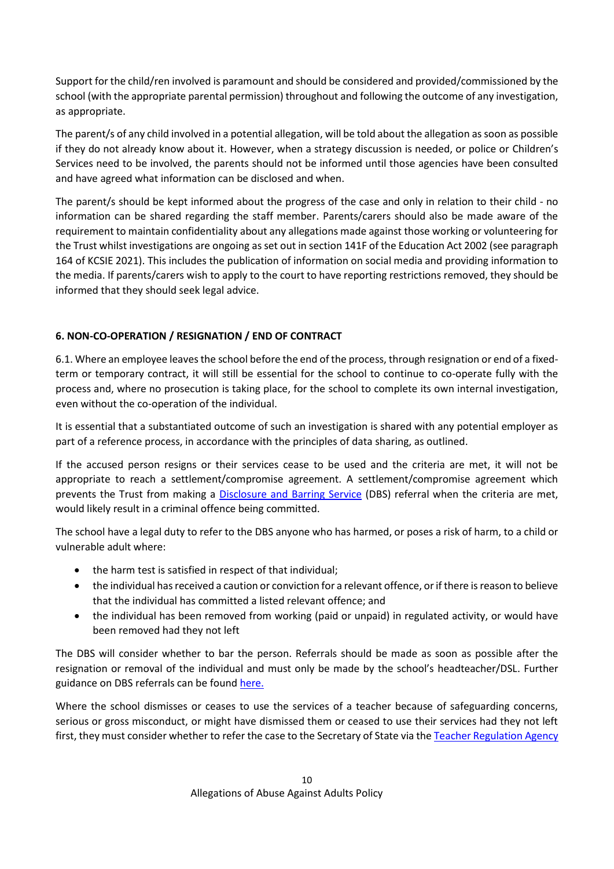Support for the child/ren involved is paramount and should be considered and provided/commissioned by the school (with the appropriate parental permission) throughout and following the outcome of any investigation, as appropriate.

The parent/s of any child involved in a potential allegation, will be told about the allegation as soon as possible if they do not already know about it. However, when a strategy discussion is needed, or police or Children's Services need to be involved, the parents should not be informed until those agencies have been consulted and have agreed what information can be disclosed and when.

The parent/s should be kept informed about the progress of the case and only in relation to their child - no information can be shared regarding the staff member. Parents/carers should also be made aware of the requirement to maintain confidentiality about any allegations made against those working or volunteering for the Trust whilst investigations are ongoing as set out in section 141F of the Education Act 2002 (see paragraph 164 of KCSIE 2021). This includes the publication of information on social media and providing information to the media. If parents/carers wish to apply to the court to have reporting restrictions removed, they should be informed that they should seek legal advice.

## **6. NON-CO-OPERATION / RESIGNATION / END OF CONTRACT**

6.1. Where an employee leaves the school before the end of the process, through resignation or end of a fixedterm or temporary contract, it will still be essential for the school to continue to co-operate fully with the process and, where no prosecution is taking place, for the school to complete its own internal investigation, even without the co-operation of the individual.

It is essential that a substantiated outcome of such an investigation is shared with any potential employer as part of a reference process, in accordance with the principles of data sharing, as outlined.

If the accused person resigns or their services cease to be used and the criteria are met, it will not be appropriate to reach a settlement/compromise agreement. A settlement/compromise agreement which prevents the Trust from making a [Disclosure and Barring Service](https://www.gov.uk/government/collections/dbs-referrals-guidance--2) (DBS) referral when the criteria are met, would likely result in a criminal offence being committed.

The school have a legal duty to refer to the DBS anyone who has harmed, or poses a risk of harm, to a child or vulnerable adult where:

- the harm test is satisfied in respect of that individual;
- the individual has received a caution or conviction for a relevant offence, or if there is reason to believe that the individual has committed a listed relevant offence; and
- the individual has been removed from working (paid or unpaid) in regulated activity, or would have been removed had they not left

The DBS will consider whether to bar the person. Referrals should be made as soon as possible after the resignation or removal of the individual and must only be made by the school's headteacher/DSL. Further guidance on DBS referrals can be foun[d here.](https://www.gov.uk/guidance/making-barring-referrals-to-the-dbs)

Where the school dismisses or ceases to use the services of a teacher because of safeguarding concerns, serious or gross misconduct, or might have dismissed them or ceased to use their services had they not left first, they must consider whether to refer the case to the Secretary of State via the [Teacher Regulation Agency](https://www.gov.uk/guidance/teacher-misconduct-referring-a-case)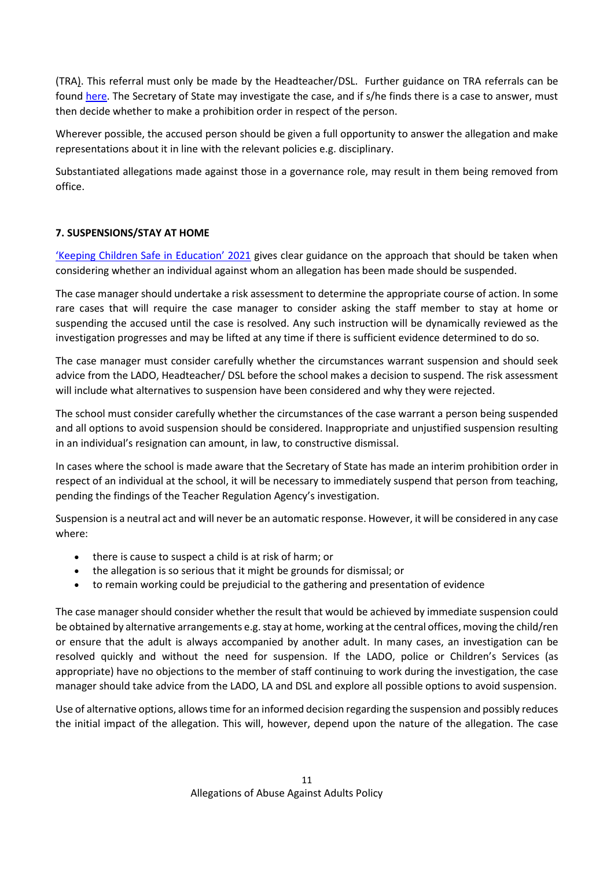(TRA). This referral must only be made by the Headteacher/DSL. Further guidance on TRA referrals can be found [here.](https://www.gov.uk/guidance/teacher-misconduct-referring-a-case) The Secretary of State may investigate the case, and if s/he finds there is a case to answer, must then decide whether to make a prohibition order in respect of the person.

Wherever possible, the accused person should be given a full opportunity to answer the allegation and make representations about it in line with the relevant policies e.g. disciplinary.

Substantiated allegations made against those in a governance role, may result in them being removed from office.

### **7. SUSPENSIONS/STAY AT HOME**

['Keeping Children Safe in Education' 2021](https://www.gov.uk/government/publications/keeping-children-safe-in-education--2f) gives clear guidance on the approach that should be taken when considering whether an individual against whom an allegation has been made should be suspended.

The case manager should undertake a risk assessment to determine the appropriate course of action. In some rare cases that will require the case manager to consider asking the staff member to stay at home or suspending the accused until the case is resolved. Any such instruction will be dynamically reviewed as the investigation progresses and may be lifted at any time if there is sufficient evidence determined to do so.

The case manager must consider carefully whether the circumstances warrant suspension and should seek advice from the LADO, Headteacher/ DSL before the school makes a decision to suspend. The risk assessment will include what alternatives to suspension have been considered and why they were rejected.

The school must consider carefully whether the circumstances of the case warrant a person being suspended and all options to avoid suspension should be considered. Inappropriate and unjustified suspension resulting in an individual's resignation can amount, in law, to constructive dismissal.

In cases where the school is made aware that the Secretary of State has made an interim prohibition order in respect of an individual at the school, it will be necessary to immediately suspend that person from teaching, pending the findings of the Teacher Regulation Agency's investigation.

Suspension is a neutral act and will never be an automatic response. However, it will be considered in any case where:

- there is cause to suspect a child is at risk of harm; or
- the allegation is so serious that it might be grounds for dismissal; or
- to remain working could be prejudicial to the gathering and presentation of evidence

The case manager should consider whether the result that would be achieved by immediate suspension could be obtained by alternative arrangements e.g. stay at home, working at the central offices, moving the child/ren or ensure that the adult is always accompanied by another adult. In many cases, an investigation can be resolved quickly and without the need for suspension. If the LADO, police or Children's Services (as appropriate) have no objections to the member of staff continuing to work during the investigation, the case manager should take advice from the LADO, LA and DSL and explore all possible options to avoid suspension.

Use of alternative options, allowstime for an informed decision regarding the suspension and possibly reduces the initial impact of the allegation. This will, however, depend upon the nature of the allegation. The case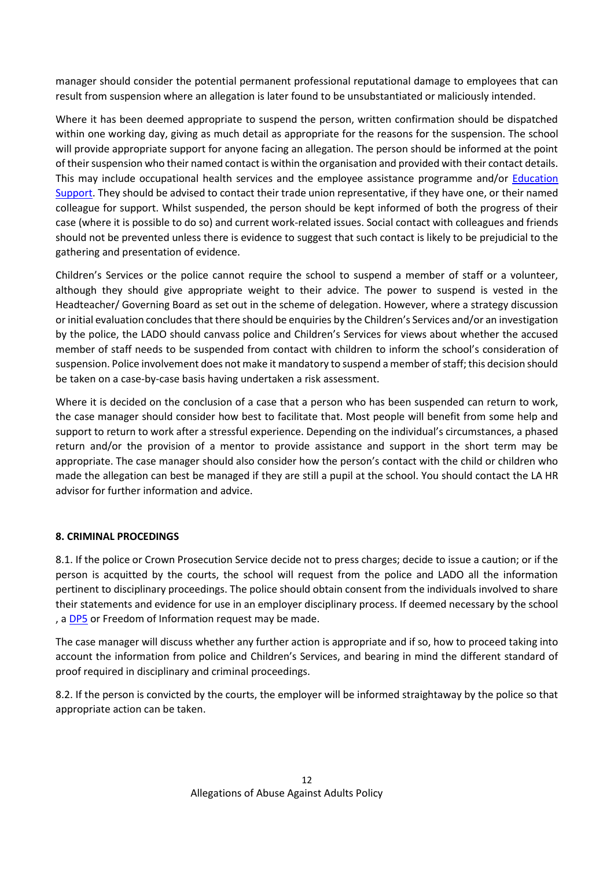manager should consider the potential permanent professional reputational damage to employees that can result from suspension where an allegation is later found to be unsubstantiated or maliciously intended.

Where it has been deemed appropriate to suspend the person, written confirmation should be dispatched within one working day, giving as much detail as appropriate for the reasons for the suspension. The school will provide appropriate support for anyone facing an allegation. The person should be informed at the point of their suspension who their named contact is within the organisation and provided with their contact details. This may include occupational health services and the employee assistance programme and/or [Education](https://www.educationsupport.org.uk/)  [Support.](https://www.educationsupport.org.uk/) They should be advised to contact their trade union representative, if they have one, or their named colleague for support. Whilst suspended, the person should be kept informed of both the progress of their case (where it is possible to do so) and current work-related issues. Social contact with colleagues and friends should not be prevented unless there is evidence to suggest that such contact is likely to be prejudicial to the gathering and presentation of evidence.

Children's Services or the police cannot require the school to suspend a member of staff or a volunteer, although they should give appropriate weight to their advice. The power to suspend is vested in the Headteacher/ Governing Board as set out in the scheme of delegation. However, where a strategy discussion or initial evaluation concludes that there should be enquiries by the Children's Services and/or an investigation by the police, the LADO should canvass police and Children's Services for views about whether the accused member of staff needs to be suspended from contact with children to inform the school's consideration of suspension. Police involvement does not make it mandatory to suspend a member of staff; this decision should be taken on a case-by-case basis having undertaken a risk assessment.

Where it is decided on the conclusion of a case that a person who has been suspended can return to work, the case manager should consider how best to facilitate that. Most people will benefit from some help and support to return to work after a stressful experience. Depending on the individual's circumstances, a phased return and/or the provision of a mentor to provide assistance and support in the short term may be appropriate. The case manager should also consider how the person's contact with the child or children who made the allegation can best be managed if they are still a pupil at the school. You should contact the LA HR advisor for further information and advice.

#### **8. CRIMINAL PROCEDINGS**

8.1. If the police or Crown Prosecution Service decide not to press charges; decide to issue a caution; or if the person is acquitted by the courts, the school will request from the police and LADO all the information pertinent to disciplinary proceedings. The police should obtain consent from the individuals involved to share their statements and evidence for use in an employer disciplinary process. If deemed necessary by the school , a [DP5](https://www.hampshire.police.uk/rqo/request/ri/request-information/rso/request-information-about-yourself-or-someone-else/) or Freedom of Information request may be made.

The case manager will discuss whether any further action is appropriate and if so, how to proceed taking into account the information from police and Children's Services, and bearing in mind the different standard of proof required in disciplinary and criminal proceedings.

8.2. If the person is convicted by the courts, the employer will be informed straightaway by the police so that appropriate action can be taken.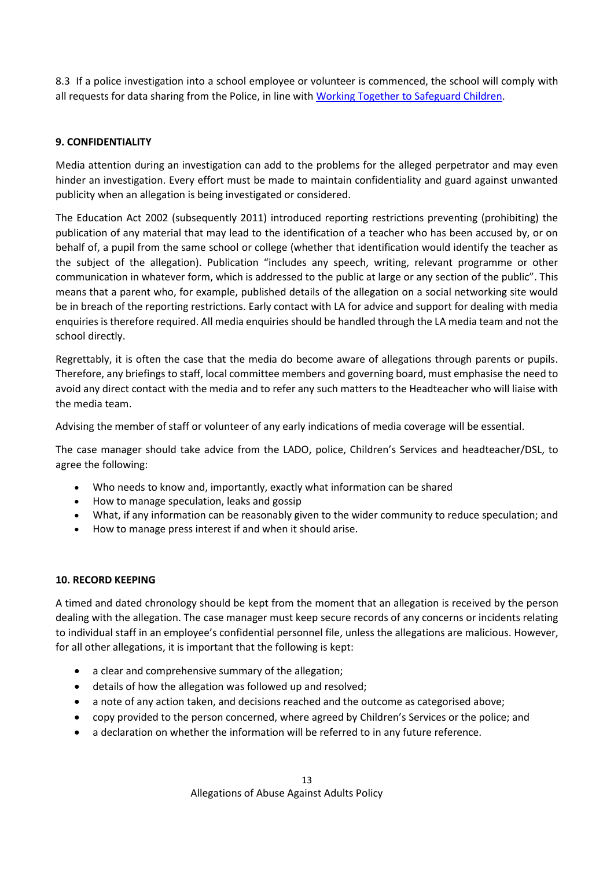8.3 If a police investigation into a school employee or volunteer is commenced, the school will comply with all requests for data sharing from the Police, in line wit[h Working Together to Safeguard Children.](https://www.gov.uk/government/publications/working-together-to-safeguard-children--2)

#### **9. CONFIDENTIALITY**

Media attention during an investigation can add to the problems for the alleged perpetrator and may even hinder an investigation. Every effort must be made to maintain confidentiality and guard against unwanted publicity when an allegation is being investigated or considered.

The Education Act 2002 (subsequently 2011) introduced reporting restrictions preventing (prohibiting) the publication of any material that may lead to the identification of a teacher who has been accused by, or on behalf of, a pupil from the same school or college (whether that identification would identify the teacher as the subject of the allegation). Publication "includes any speech, writing, relevant programme or other communication in whatever form, which is addressed to the public at large or any section of the public". This means that a parent who, for example, published details of the allegation on a social networking site would be in breach of the reporting restrictions. Early contact with LA for advice and support for dealing with media enquiries is therefore required. All media enquiries should be handled through the LA media team and not the school directly.

Regrettably, it is often the case that the media do become aware of allegations through parents or pupils. Therefore, any briefings to staff, local committee members and governing board, must emphasise the need to avoid any direct contact with the media and to refer any such matters to the Headteacher who will liaise with the media team.

Advising the member of staff or volunteer of any early indications of media coverage will be essential.

The case manager should take advice from the LADO, police, Children's Services and headteacher/DSL, to agree the following:

- Who needs to know and, importantly, exactly what information can be shared
- How to manage speculation, leaks and gossip
- What, if any information can be reasonably given to the wider community to reduce speculation; and
- How to manage press interest if and when it should arise.

#### **10. RECORD KEEPING**

A timed and dated chronology should be kept from the moment that an allegation is received by the person dealing with the allegation. The case manager must keep secure records of any concerns or incidents relating to individual staff in an employee's confidential personnel file, unless the allegations are malicious. However, for all other allegations, it is important that the following is kept:

- a clear and comprehensive summary of the allegation;
- details of how the allegation was followed up and resolved;
- a note of any action taken, and decisions reached and the outcome as categorised above;
- copy provided to the person concerned, where agreed by Children's Services or the police; and
- a declaration on whether the information will be referred to in any future reference.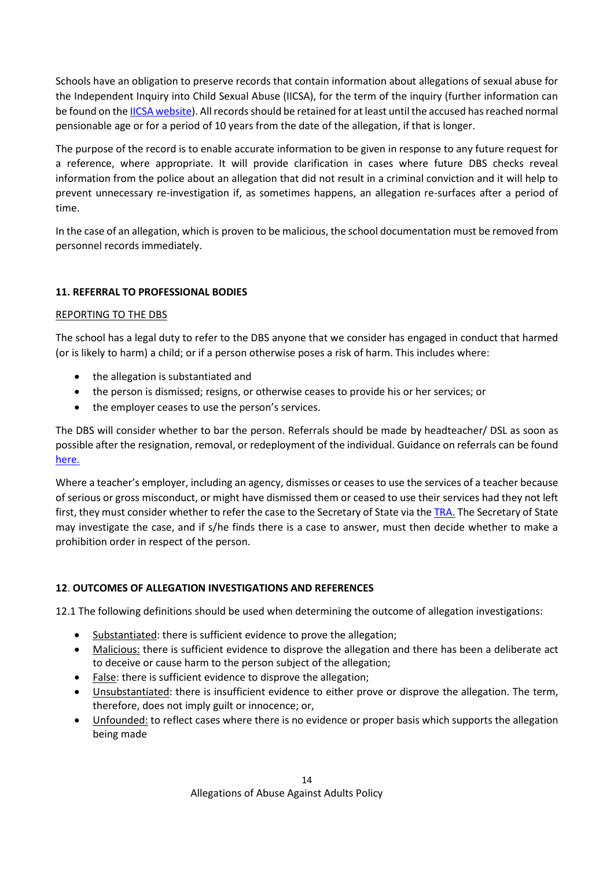Schools have an obligation to preserve records that contain information about allegations of sexual abuse for the Independent Inquiry into Child Sexual Abuse (IICSA), for the term of the inquiry (further information can be found on th[e IICSA website\)](https://www.iicsa.org.uk/document/guidance-note-retention-instructions-and-data-protection-requirements). All records should be retained for at least until the accused has reached normal pensionable age or for a period of 10 years from the date of the allegation, if that is longer.

The purpose of the record is to enable accurate information to be given in response to any future request for a reference, where appropriate. It will provide clarification in cases where future DBS checks reveal information from the police about an allegation that did not result in a criminal conviction and it will help to prevent unnecessary re-investigation if, as sometimes happens, an allegation re-surfaces after a period of time.

In the case of an allegation, which is proven to be malicious, the school documentation must be removed from personnel records immediately.

### **11. REFERRAL TO PROFESSIONAL BODIES**

#### REPORTING TO THE DBS

The school has a legal duty to refer to the DBS anyone that we consider has engaged in conduct that harmed (or is likely to harm) a child; or if a person otherwise poses a risk of harm. This includes where:

- the allegation is substantiated and
- the person is dismissed; resigns, or otherwise ceases to provide his or her services; or
- the employer ceases to use the person's services.

The DBS will consider whether to bar the person. Referrals should be made by headteacher/ DSL as soon as possible after the resignation, removal, or redeployment of the individual. Guidance on referrals can be found [here.](https://www.gov.uk/guidance/making-barring-referrals-to-the-dbs)

Where a teacher's employer, including an agency, dismisses or ceases to use the services of a teacher because of serious or gross misconduct, or might have dismissed them or ceased to use their services had they not left first, they must consider whether to refer the case to the Secretary of State via the [TRA.](https://www.gov.uk/guidance/teacher-misconduct-referring-a-case) The Secretary of State may investigate the case, and if s/he finds there is a case to answer, must then decide whether to make a prohibition order in respect of the person.

#### **12**. **OUTCOMES OF ALLEGATION INVESTIGATIONS AND REFERENCES**

12.1 The following definitions should be used when determining the outcome of allegation investigations:

- Substantiated: there is sufficient evidence to prove the allegation;
- Malicious: there is sufficient evidence to disprove the allegation and there has been a deliberate act to deceive or cause harm to the person subject of the allegation;
- False: there is sufficient evidence to disprove the allegation;
- Unsubstantiated: there is insufficient evidence to either prove or disprove the allegation. The term, therefore, does not imply guilt or innocence; or,
- Unfounded: to reflect cases where there is no evidence or proper basis which supports the allegation being made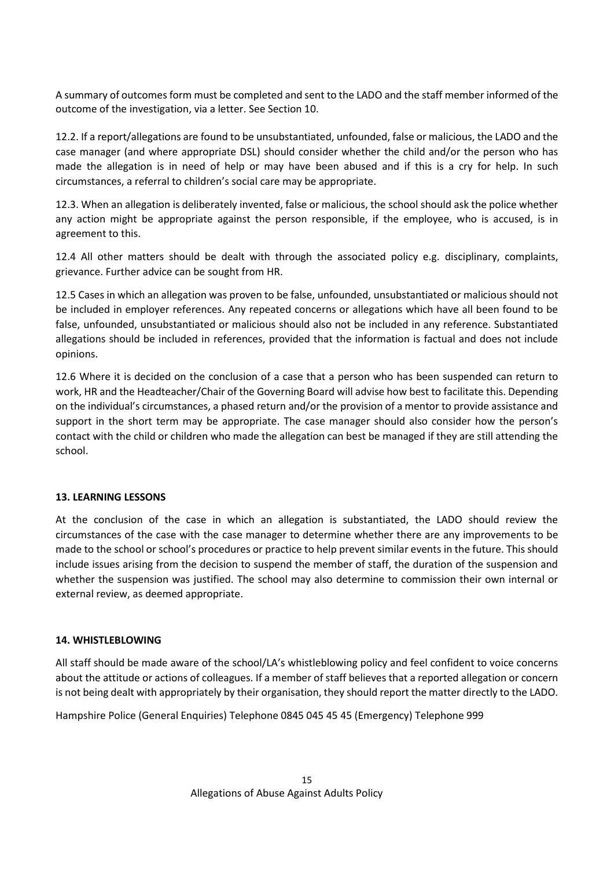A summary of outcomes form must be completed and sent to the LADO and the staff member informed of the outcome of the investigation, via a letter. See Section 10.

12.2. If a report/allegations are found to be unsubstantiated, unfounded, false or malicious, the LADO and the case manager (and where appropriate DSL) should consider whether the child and/or the person who has made the allegation is in need of help or may have been abused and if this is a cry for help. In such circumstances, a referral to children's social care may be appropriate.

12.3. When an allegation is deliberately invented, false or malicious, the school should ask the police whether any action might be appropriate against the person responsible, if the employee, who is accused, is in agreement to this.

12.4 All other matters should be dealt with through the associated policy e.g. disciplinary, complaints, grievance. Further advice can be sought from HR.

12.5 Cases in which an allegation was proven to be false, unfounded, unsubstantiated or malicious should not be included in employer references. Any repeated concerns or allegations which have all been found to be false, unfounded, unsubstantiated or malicious should also not be included in any reference. Substantiated allegations should be included in references, provided that the information is factual and does not include opinions.

12.6 Where it is decided on the conclusion of a case that a person who has been suspended can return to work, HR and the Headteacher/Chair of the Governing Board will advise how best to facilitate this. Depending on the individual's circumstances, a phased return and/or the provision of a mentor to provide assistance and support in the short term may be appropriate. The case manager should also consider how the person's contact with the child or children who made the allegation can best be managed if they are still attending the school.

#### **13. LEARNING LESSONS**

At the conclusion of the case in which an allegation is substantiated, the LADO should review the circumstances of the case with the case manager to determine whether there are any improvements to be made to the school or school's procedures or practice to help prevent similar events in the future. This should include issues arising from the decision to suspend the member of staff, the duration of the suspension and whether the suspension was justified. The school may also determine to commission their own internal or external review, as deemed appropriate.

#### **14. WHISTLEBLOWING**

All staff should be made aware of the school/LA's whistleblowing policy and feel confident to voice concerns about the attitude or actions of colleagues. If a member of staff believes that a reported allegation or concern is not being dealt with appropriately by their organisation, they should report the matter directly to the LADO.

Hampshire Police (General Enquiries) Telephone 0845 045 45 45 (Emergency) Telephone 999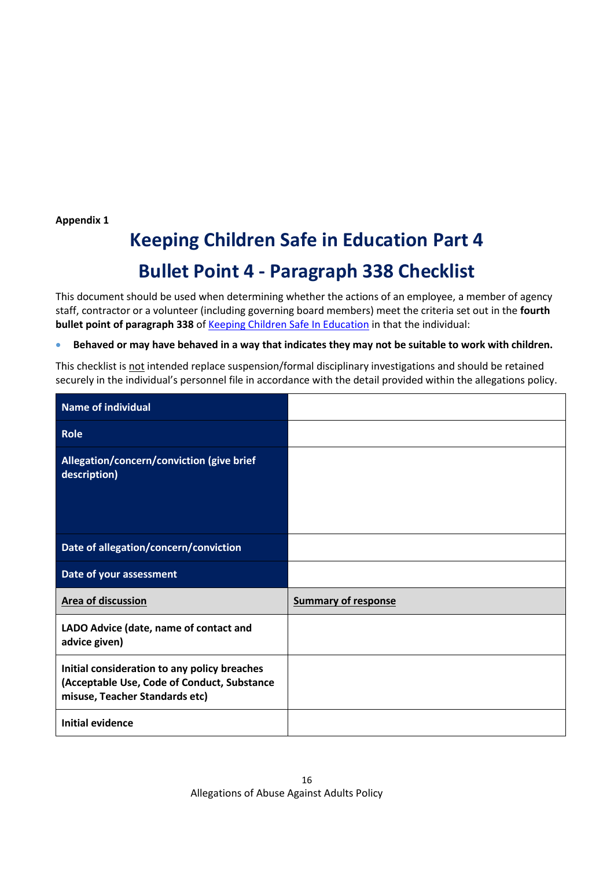**Appendix 1**

# **Keeping Children Safe in Education Part 4 Bullet Point 4 - Paragraph 338 Checklist**

This document should be used when determining whether the actions of an employee, a member of agency staff, contractor or a volunteer (including governing board members) meet the criteria set out in the **fourth bullet point of paragraph 338** of [Keeping Children Safe In Education](https://www.gov.uk/government/publications/keeping-children-safe-in-education--2) in that the individual:

• **Behaved or may have behaved in a way that indicates they may not be suitable to work with children.**

This checklist is not intended replace suspension/formal disciplinary investigations and should be retained securely in the individual's personnel file in accordance with the detail provided within the allegations policy.

| Name of individual                                                                                                            |                            |
|-------------------------------------------------------------------------------------------------------------------------------|----------------------------|
| <b>Role</b>                                                                                                                   |                            |
| Allegation/concern/conviction (give brief<br>description)                                                                     |                            |
| Date of allegation/concern/conviction                                                                                         |                            |
| Date of your assessment                                                                                                       |                            |
|                                                                                                                               |                            |
| <b>Area of discussion</b>                                                                                                     | <b>Summary of response</b> |
| LADO Advice (date, name of contact and<br>advice given)                                                                       |                            |
| Initial consideration to any policy breaches<br>(Acceptable Use, Code of Conduct, Substance<br>misuse, Teacher Standards etc) |                            |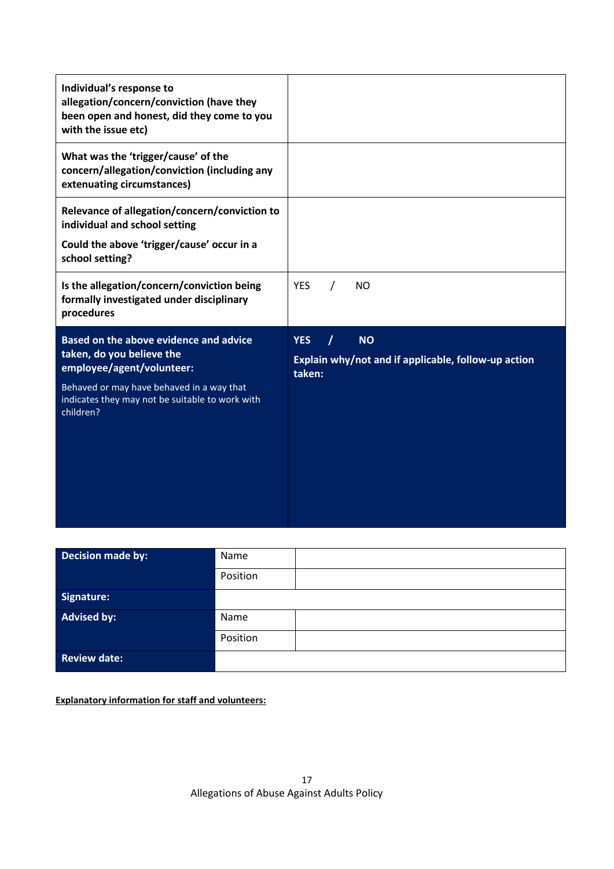| Individual's response to<br>allegation/concern/conviction (have they<br>been open and honest, did they come to you<br>with the issue etc)                                                                     |                                                                                               |
|---------------------------------------------------------------------------------------------------------------------------------------------------------------------------------------------------------------|-----------------------------------------------------------------------------------------------|
| What was the 'trigger/cause' of the<br>concern/allegation/conviction (including any<br>extenuating circumstances)                                                                                             |                                                                                               |
| Relevance of allegation/concern/conviction to<br>individual and school setting<br>Could the above 'trigger/cause' occur in a<br>school setting?                                                               |                                                                                               |
| Is the allegation/concern/conviction being<br>formally investigated under disciplinary<br>procedures                                                                                                          | <b>YES</b><br>N <sub>O</sub>                                                                  |
| Based on the above evidence and advice<br>taken, do you believe the<br>employee/agent/volunteer:<br>Behaved or may have behaved in a way that<br>indicates they may not be suitable to work with<br>children? | <b>YES</b><br>7<br><b>NO</b><br>Explain why/not and if applicable, follow-up action<br>taken: |

| Decision made by:   | Name     |
|---------------------|----------|
|                     | Position |
| Signature:          |          |
| <b>Advised by:</b>  | Name     |
|                     | Position |
| <b>Review date:</b> |          |

**Explanatory information for staff and volunteers:**